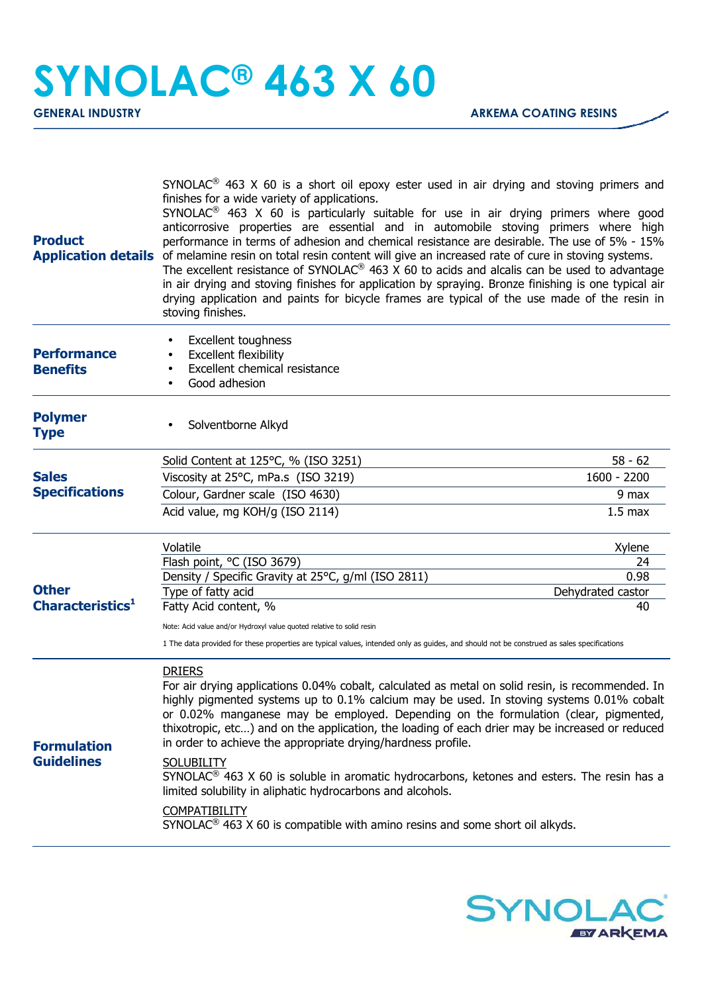## **SYNOLAC® 463 X 60**

| <b>Product</b>                               | SYNOLAC <sup>®</sup> 463 X 60 is a short oil epoxy ester used in air drying and stoving primers and<br>finishes for a wide variety of applications.<br>SYNOLAC <sup>®</sup> 463 X 60 is particularly suitable for use in air drying primers where good<br>anticorrosive properties are essential and in automobile stoving primers where high<br>performance in terms of adhesion and chemical resistance are desirable. The use of 5% - 15%<br><b>Application details</b> of melamine resin on total resin content will give an increased rate of cure in stoving systems.<br>The excellent resistance of SYNOLAC® 463 X 60 to acids and alcalis can be used to advantage<br>in air drying and stoving finishes for application by spraying. Bronze finishing is one typical air<br>drying application and paints for bicycle frames are typical of the use made of the resin in<br>stoving finishes. |                         |
|----------------------------------------------|--------------------------------------------------------------------------------------------------------------------------------------------------------------------------------------------------------------------------------------------------------------------------------------------------------------------------------------------------------------------------------------------------------------------------------------------------------------------------------------------------------------------------------------------------------------------------------------------------------------------------------------------------------------------------------------------------------------------------------------------------------------------------------------------------------------------------------------------------------------------------------------------------------|-------------------------|
| <b>Performance</b><br><b>Benefits</b>        | <b>Excellent toughness</b><br><b>Excellent flexibility</b><br>Excellent chemical resistance<br>Good adhesion                                                                                                                                                                                                                                                                                                                                                                                                                                                                                                                                                                                                                                                                                                                                                                                           |                         |
| <b>Polymer</b><br><b>Type</b>                | Solventborne Alkyd                                                                                                                                                                                                                                                                                                                                                                                                                                                                                                                                                                                                                                                                                                                                                                                                                                                                                     |                         |
| <b>Sales</b><br><b>Specifications</b>        | Solid Content at 125°C, % (ISO 3251)                                                                                                                                                                                                                                                                                                                                                                                                                                                                                                                                                                                                                                                                                                                                                                                                                                                                   | $58 - 62$               |
|                                              | Viscosity at 25°C, mPa.s (ISO 3219)                                                                                                                                                                                                                                                                                                                                                                                                                                                                                                                                                                                                                                                                                                                                                                                                                                                                    | 1600 - 2200             |
|                                              | Colour, Gardner scale (ISO 4630)                                                                                                                                                                                                                                                                                                                                                                                                                                                                                                                                                                                                                                                                                                                                                                                                                                                                       | 9 max                   |
|                                              | Acid value, mg KOH/g (ISO 2114)                                                                                                                                                                                                                                                                                                                                                                                                                                                                                                                                                                                                                                                                                                                                                                                                                                                                        | 1.5 <sub>max</sub>      |
| <b>Other</b><br>Characteristics <sup>1</sup> | Volatile                                                                                                                                                                                                                                                                                                                                                                                                                                                                                                                                                                                                                                                                                                                                                                                                                                                                                               | Xylene                  |
|                                              | Flash point, °C (ISO 3679)                                                                                                                                                                                                                                                                                                                                                                                                                                                                                                                                                                                                                                                                                                                                                                                                                                                                             | 24                      |
|                                              | Density / Specific Gravity at 25°C, g/ml (ISO 2811)                                                                                                                                                                                                                                                                                                                                                                                                                                                                                                                                                                                                                                                                                                                                                                                                                                                    | 0.98                    |
|                                              | Type of fatty acid<br>Fatty Acid content, %                                                                                                                                                                                                                                                                                                                                                                                                                                                                                                                                                                                                                                                                                                                                                                                                                                                            | Dehydrated castor<br>40 |
|                                              |                                                                                                                                                                                                                                                                                                                                                                                                                                                                                                                                                                                                                                                                                                                                                                                                                                                                                                        |                         |
|                                              | Note: Acid value and/or Hydroxyl value quoted relative to solid resin<br>1 The data provided for these properties are typical values, intended only as guides, and should not be construed as sales specifications                                                                                                                                                                                                                                                                                                                                                                                                                                                                                                                                                                                                                                                                                     |                         |
| <b>Formulation</b><br><b>Guidelines</b>      | <b>DRIERS</b><br>For air drying applications 0.04% cobalt, calculated as metal on solid resin, is recommended. In<br>highly pigmented systems up to 0.1% calcium may be used. In stoving systems 0.01% cobalt<br>or 0.02% manganese may be employed. Depending on the formulation (clear, pigmented,<br>thixotropic, etc) and on the application, the loading of each drier may be increased or reduced<br>in order to achieve the appropriate drying/hardness profile.                                                                                                                                                                                                                                                                                                                                                                                                                                |                         |
|                                              | <b>SOLUBILITY</b><br>SYNOLAC <sup>®</sup> 463 X 60 is soluble in aromatic hydrocarbons, ketones and esters. The resin has a<br>limited solubility in aliphatic hydrocarbons and alcohols.                                                                                                                                                                                                                                                                                                                                                                                                                                                                                                                                                                                                                                                                                                              |                         |
|                                              | <b>COMPATIBILITY</b><br>SYNOLAC <sup>®</sup> 463 X 60 is compatible with amino resins and some short oil alkyds.                                                                                                                                                                                                                                                                                                                                                                                                                                                                                                                                                                                                                                                                                                                                                                                       |                         |